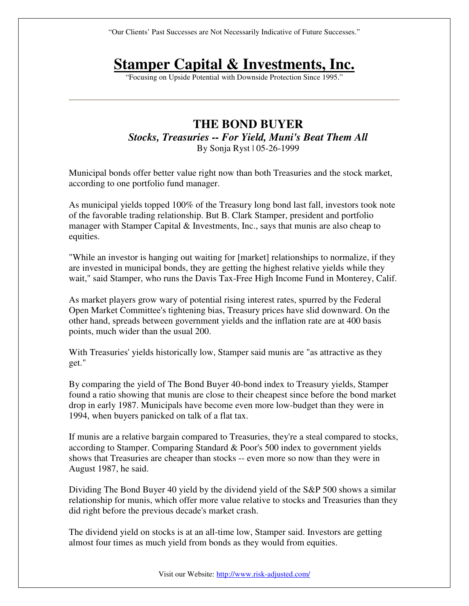"Our Clients' Past Successes are Not Necessarily Indicative of Future Successes."

## **Stamper Capital & Investments, Inc.**

"Focusing on Upside Potential with Downside Protection Since 1995."

## **THE BOND BUYER**  *Stocks, Treasuries -- For Yield, Muni's Beat Them All*  By Sonja Ryst | 05-26-1999

Municipal bonds offer better value right now than both Treasuries and the stock market, according to one portfolio fund manager.

As municipal yields topped 100% of the Treasury long bond last fall, investors took note of the favorable trading relationship. But B. Clark Stamper, president and portfolio manager with Stamper Capital & Investments, Inc., says that munis are also cheap to equities.

"While an investor is hanging out waiting for [market] relationships to normalize, if they are invested in municipal bonds, they are getting the highest relative yields while they wait," said Stamper, who runs the Davis Tax-Free High Income Fund in Monterey, Calif.

As market players grow wary of potential rising interest rates, spurred by the Federal Open Market Committee's tightening bias, Treasury prices have slid downward. On the other hand, spreads between government yields and the inflation rate are at 400 basis points, much wider than the usual 200.

With Treasuries' yields historically low, Stamper said munis are "as attractive as they get."

By comparing the yield of The Bond Buyer 40-bond index to Treasury yields, Stamper found a ratio showing that munis are close to their cheapest since before the bond market drop in early 1987. Municipals have become even more low-budget than they were in 1994, when buyers panicked on talk of a flat tax.

If munis are a relative bargain compared to Treasuries, they're a steal compared to stocks, according to Stamper. Comparing Standard & Poor's 500 index to government yields shows that Treasuries are cheaper than stocks -- even more so now than they were in August 1987, he said.

Dividing The Bond Buyer 40 yield by the dividend yield of the S&P 500 shows a similar relationship for munis, which offer more value relative to stocks and Treasuries than they did right before the previous decade's market crash.

The dividend yield on stocks is at an all-time low, Stamper said. Investors are getting almost four times as much yield from bonds as they would from equities.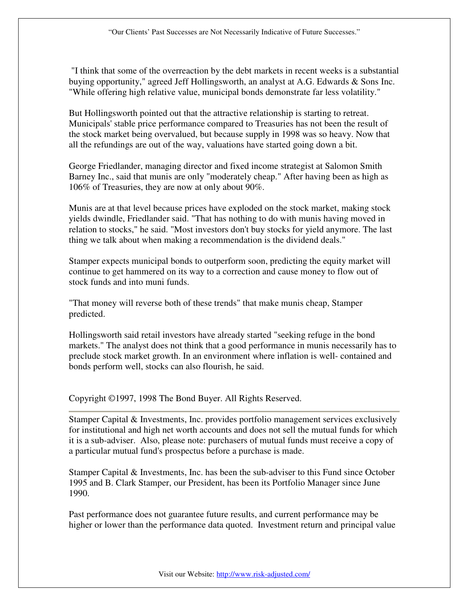"I think that some of the overreaction by the debt markets in recent weeks is a substantial buying opportunity," agreed Jeff Hollingsworth, an analyst at A.G. Edwards & Sons Inc. "While offering high relative value, municipal bonds demonstrate far less volatility."

But Hollingsworth pointed out that the attractive relationship is starting to retreat. Municipals' stable price performance compared to Treasuries has not been the result of the stock market being overvalued, but because supply in 1998 was so heavy. Now that all the refundings are out of the way, valuations have started going down a bit.

George Friedlander, managing director and fixed income strategist at Salomon Smith Barney Inc., said that munis are only "moderately cheap." After having been as high as 106% of Treasuries, they are now at only about 90%.

Munis are at that level because prices have exploded on the stock market, making stock yields dwindle, Friedlander said. "That has nothing to do with munis having moved in relation to stocks," he said. "Most investors don't buy stocks for yield anymore. The last thing we talk about when making a recommendation is the dividend deals."

Stamper expects municipal bonds to outperform soon, predicting the equity market will continue to get hammered on its way to a correction and cause money to flow out of stock funds and into muni funds.

"That money will reverse both of these trends" that make munis cheap, Stamper predicted.

Hollingsworth said retail investors have already started "seeking refuge in the bond markets." The analyst does not think that a good performance in munis necessarily has to preclude stock market growth. In an environment where inflation is well- contained and bonds perform well, stocks can also flourish, he said.

Copyright ©1997, 1998 The Bond Buyer. All Rights Reserved.

Stamper Capital & Investments, Inc. provides portfolio management services exclusively for institutional and high net worth accounts and does not sell the mutual funds for which it is a sub-adviser. Also, please note: purchasers of mutual funds must receive a copy of a particular mutual fund's prospectus before a purchase is made.

Stamper Capital & Investments, Inc. has been the sub-adviser to this Fund since October 1995 and B. Clark Stamper, our President, has been its Portfolio Manager since June 1990.

Past performance does not guarantee future results, and current performance may be higher or lower than the performance data quoted. Investment return and principal value